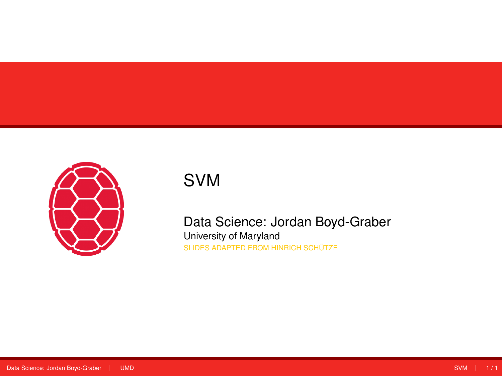<span id="page-0-0"></span>

# SVM

Data Science: Jordan Boyd-Graber University of Maryland SLIDES ADAPTED FROM HINRICH SCHÜTZE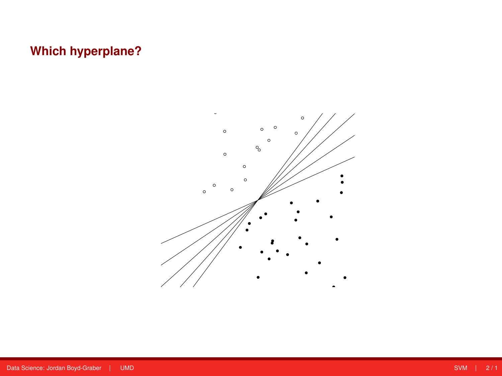## **Which hyperplane?**

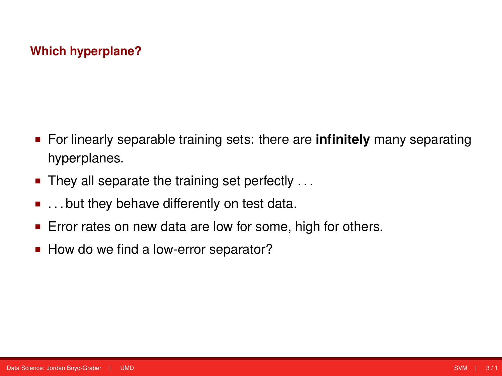### **Which hyperplane?**

- For linearly separable training sets: there are **infinitely** many separating hyperplanes.
- $\blacksquare$  They all separate the training set perfectly ...
- $\blacksquare$ ... but they behave differently on test data.
- **Error rates on new data are low for some, high for others.**
- How do we find a low-error separator?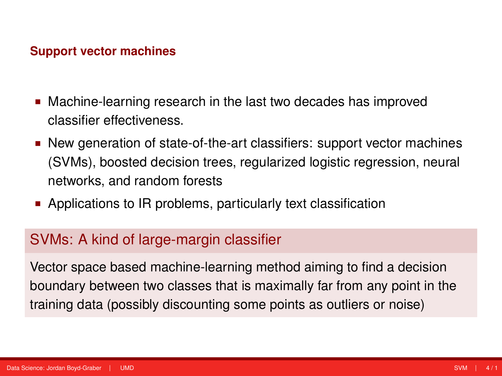#### **Support vector machines**

- Machine-learning research in the last two decades has improved classifier effectiveness.
- New generation of state-of-the-art classifiers: support vector machines (SVMs), boosted decision trees, regularized logistic regression, neural networks, and random forests
- **EXECUTE:** Applications to IR problems, particularly text classification

### SVMs: A kind of large-margin classifier

Vector space based machine-learning method aiming to find a decision boundary between two classes that is maximally far from any point in the training data (possibly discounting some points as outliers or noise)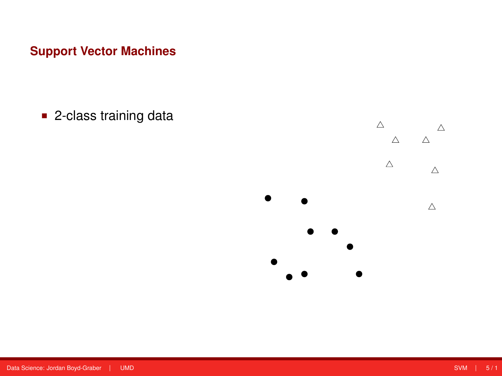## **Support Vector Machines**

■ 2-class training data

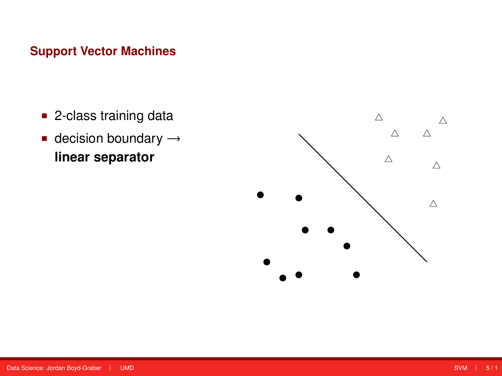# Support Vector M<mark>achines</mark>

- 2-class training data
- decision boundary  $\rightarrow$ **linear separator**

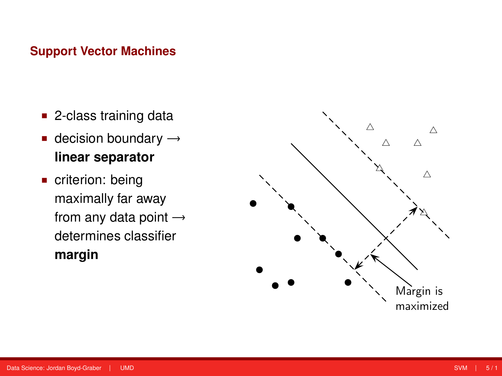#### **Support Vector Machines** 2-class training data

- 2-class training data
- decision boundary  $\rightarrow$ **linear separator**
- $\blacksquare$  criterion: being maximally far away from any data point  $\rightarrow$ determines classifier **margin**

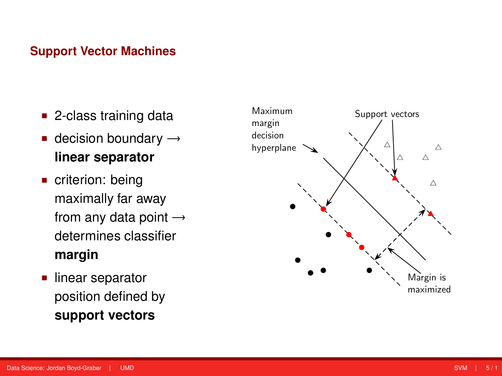# **Support Vector Machines**

- 2-class training data classification decisions s training data
- **decision boundary**  $\rightarrow$ **linear separator** separator
- **criterion: being** maximally far away from any data point  $\rightarrow$ determines classifier **margin** if  $\alpha$  measurement of  $\alpha$
- linear separator position defined by  ${\sf support\ vectors}$

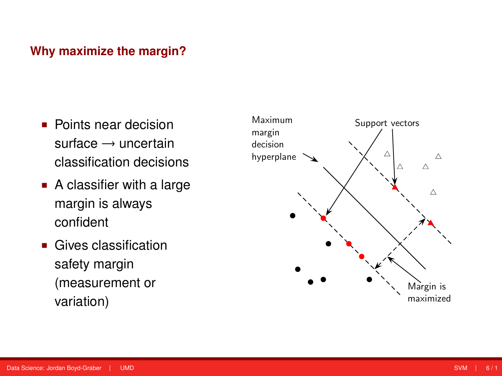# **Why maximize the margin?** Why maximize the margin?

- Points near decision surface  $\rightarrow$  uncertain classification decisions classification decisions riear decision
- A classifier with a large margin is always confident certainty classification sifier wit errors in measurement or
- $\blacksquare$  Gives classification safety margin (measurement or variation)

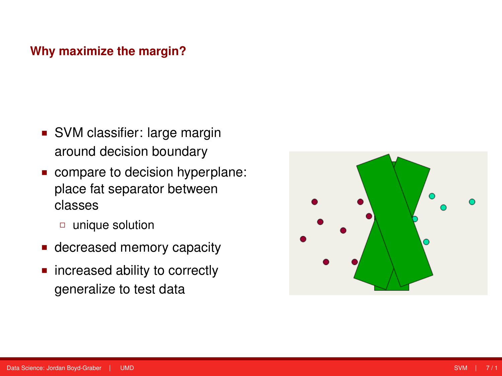### **Why maximize the margin?**

- SVM classifier: large margin around decision boundary
- compare to decision hyperplane: place fat separator between classes
	- unique solution
- **decreased memory capacity**
- **n** increased ability to correctly generalize to test data

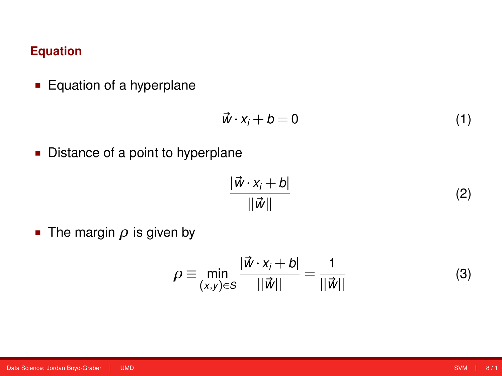### **Equation**

**Equation of a hyperplane** 

$$
\vec{w} \cdot x_i + b = 0 \tag{1}
$$

**Distance of a point to hyperplane** 

$$
\frac{|\vec{w} \cdot x_i + b|}{||\vec{w}||} \tag{2}
$$

The margin  $\rho$  is given by

$$
\rho \equiv \min_{(x,y)\in S} \frac{|\vec{w} \cdot x_j + b|}{||\vec{w}||} = \frac{1}{||\vec{w}||}
$$
(3)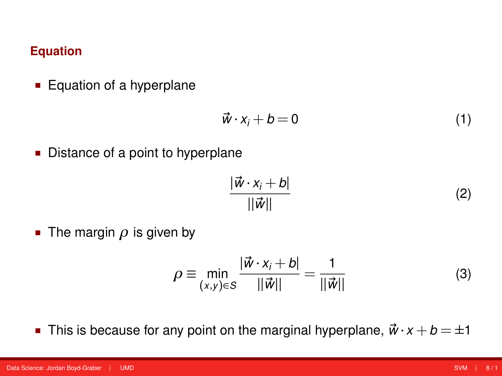### **Equation**

**Equation of a hyperplane** 

$$
\vec{w} \cdot x_i + b = 0 \tag{1}
$$

**Distance of a point to hyperplane** 

$$
\frac{|\vec{w} \cdot x_i + b|}{||\vec{w}||} \tag{2}
$$

The margin  $\rho$  is given by

$$
\rho \equiv \min_{(x,y)\in S} \frac{|\vec{w} \cdot x_j + b|}{||\vec{w}||} = \frac{1}{||\vec{w}||}
$$
(3)

This is because for any point on the marginal hyperplane,  $\vec{w} \cdot x + b = \pm 1$